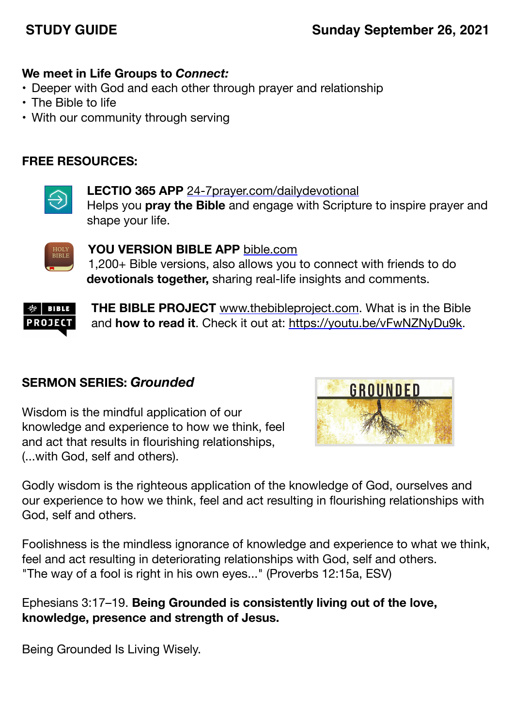# **STUDY GUIDE Sunday September 26, 2021**

### **We meet in Life Groups to** *Connect:*

- Deeper with God and each other through prayer and relationship
- The Bible to life
- With our community through serving

### **FREE RESOURCES:**



**LECTIO 365 APP** [24-7prayer.com/dailydevotional](http://24-7prayer.com/dailydevotional) Helps you **pray the Bible** and engage with Scripture to inspire prayer and shape your life.



**YOU VERSION BIBLE APP** [bible.com](http://bible.com) 1,200+ Bible versions, also allows you to connect with friends to do **devotionals together,** sharing real-life insights and comments.



**THE BIBLE PROJECT** [www.thebibleproject.com.](http://www.thebibleproject.com) What is in the Bible and **how to read it**. Check it out at:<https://youtu.be/vFwNZNyDu9k>.

## **SERMON SERIES:** *Grounded*

Wisdom is the mindful application of our knowledge and experience to how we think, feel and act that results in flourishing relationships, (...with God, self and others).



Godly wisdom is the righteous application of the knowledge of God, ourselves and our experience to how we think, feel and act resulting in flourishing relationships with God, self and others.

Foolishness is the mindless ignorance of knowledge and experience to what we think, feel and act resulting in deteriorating relationships with God, self and others. "The way of a fool is right in his own eyes..." (Proverbs 12:15a, ESV)

Ephesians 3:17–19. **Being Grounded is consistently living out of the love, knowledge, presence and strength of Jesus.**

Being Grounded Is Living Wisely.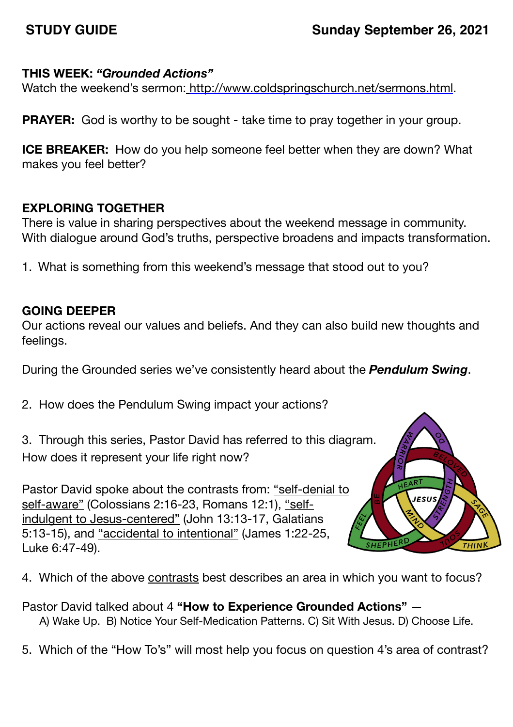### **THIS WEEK:** *"Grounded Actions"*

Watch the weekend's sermon: <http://www.coldspringschurch.net/sermons.html>.

**PRAYER:** God is worthy to be sought - take time to pray together in your group.

**ICE BREAKER:** How do you help someone feel better when they are down? What makes you feel better?

## **EXPLORING TOGETHER**

There is value in sharing perspectives about the weekend message in community. With dialogue around God's truths, perspective broadens and impacts transformation.

1. What is something from this weekend's message that stood out to you?

## **GOING DEEPER**

Our actions reveal our values and beliefs. And they can also build new thoughts and feelings.

During the Grounded series we've consistently heard about the *Pendulum Swing*.

- 2. How does the Pendulum Swing impact your actions?
- 3. Through this series, Pastor David has referred to this diagram. How does it represent your life right now?

Pastor David spoke about the contrasts from: "self-denial to self-aware" (Colossians 2:16-23, Romans 12:1), "selfindulgent to Jesus-centered" (John 13:13-17, Galatians 5:13-15), and "accidental to intentional" (James 1:22-25, Luke 6:47-49).



4. Which of the above contrasts best describes an area in which you want to focus?

Pastor David talked about 4 **"How to Experience Grounded Actions"** — A) Wake Up. B) Notice Your Self-Medication Patterns. C) Sit With Jesus. D) Choose Life.

5. Which of the "How To's" will most help you focus on question 4's area of contrast?